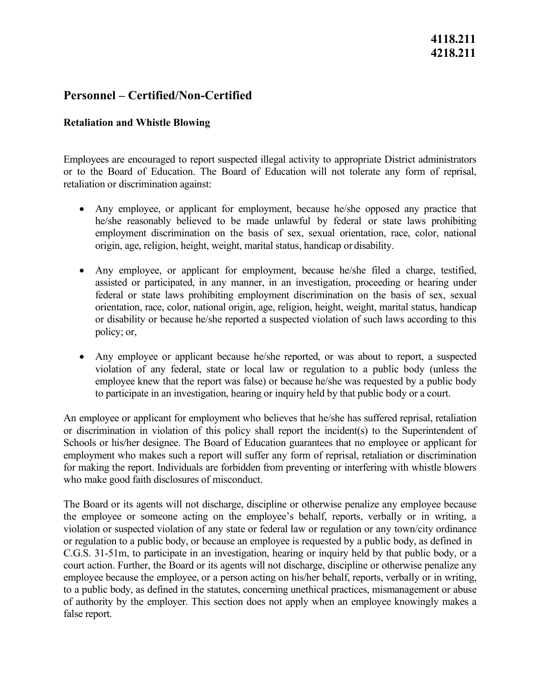### **Personnel – Certified/Non-Certified**

### **Retaliation and Whistle Blowing**

Employees are encouraged to report suspected illegal activity to appropriate District administrators or to the Board of Education. The Board of Education will not tolerate any form of reprisal, retaliation or discrimination against:

- he/she reasonably believed to be made unlawful by federal or state laws prohibiting origin, age, religion, height, weight, marital status, handicap or disability. • Any employee, or applicant for employment, because he/she opposed any practice that employment discrimination on the basis of sex, sexual orientation, race, color, national
- policy; or, • Any employee, or applicant for employment, because he/she filed a charge, testified, assisted or participated, in any manner, in an investigation, proceeding or hearing under federal or state laws prohibiting employment discrimination on the basis of sex, sexual orientation, race, color, national origin, age, religion, height, weight, marital status, handicap or disability or because he/she reported a suspected violation of such laws according to this
- violation of any federal, state or local law or regulation to a public body (unless the to participate in an investigation, hearing or inquiry held by that public body or a court. • Any employee or applicant because he/she reported, or was about to report, a suspected employee knew that the report was false) or because he/she was requested by a public body

An employee or applicant for employment who believes that he/she has suffered reprisal, retaliation or discrimination in violation of this policy shall report the incident(s) to the Superintendent of Schools or his/her designee. The Board of Education guarantees that no employee or applicant for employment who makes such a report will suffer any form of reprisal, retaliation or discrimination for making the report. Individuals are forbidden from preventing or interfering with whistle blowers who make good faith disclosures of misconduct.

 or regulation to a public body, or because an employee is requested by a public body, as defined in C.G.S. 31-51m, to participate in an investigation, hearing or inquiry held by that public body, or a employee because the employee, or a person acting on his/her behalf, reports, verbally or in writing, The Board or its agents will not discharge, discipline or otherwise penalize any employee because the employee or someone acting on the employee's behalf, reports, verbally or in writing, a violation or suspected violation of any state or federal law or regulation or any town/city ordinance court action. Further, the Board or its agents will not discharge, discipline or otherwise penalize any to a public body, as defined in the statutes, concerning unethical practices, mismanagement or abuse of authority by the employer. This section does not apply when an employee knowingly makes a false report.